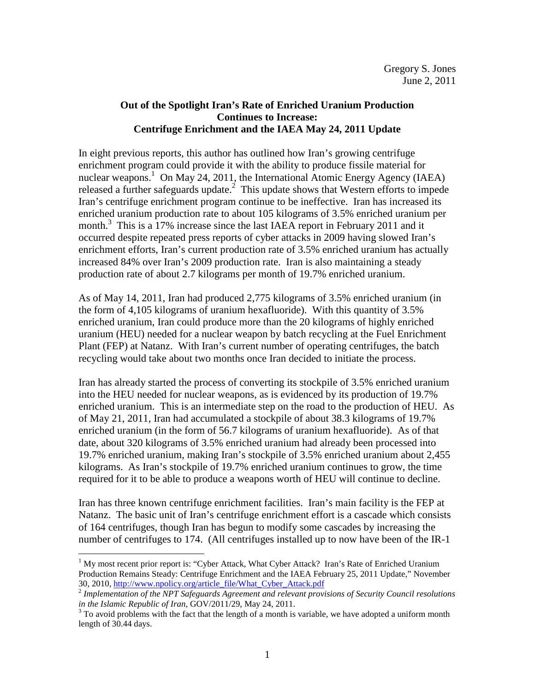## **Out of the Spotlight Iran's Rate of Enriched Uranium Production Continues to Increase: Centrifuge Enrichment and the IAEA May 24, 2011 Update**

In eight previous reports, this author has outlined how Iran's growing centrifuge enrichment program could provide it with the ability to produce fissile material for nuclear weapons.<sup>1</sup> On May 24, 2011, the International Atomic Energy Agency (IAEA) released a further safeguards update. $2$  This update shows that Western efforts to impede Iran's centrifuge enrichment program continue to be ineffective. Iran has increased its enriched uranium production rate to about 105 kilograms of 3.5% enriched uranium per month.<sup>3</sup> This is a 17% increase since the last IAEA report in February 2011 and it occurred despite repeated press reports of cyber attacks in 2009 having slowed Iran's enrichment efforts, Iran's current production rate of 3.5% enriched uranium has actually increased 84% over Iran's 2009 production rate. Iran is also maintaining a steady production rate of about 2.7 kilograms per month of 19.7% enriched uranium.

As of May 14, 2011, Iran had produced 2,775 kilograms of 3.5% enriched uranium (in the form of 4,105 kilograms of uranium hexafluoride). With this quantity of 3.5% enriched uranium, Iran could produce more than the 20 kilograms of highly enriched uranium (HEU) needed for a nuclear weapon by batch recycling at the Fuel Enrichment Plant (FEP) at Natanz. With Iran's current number of operating centrifuges, the batch recycling would take about two months once Iran decided to initiate the process.

Iran has already started the process of converting its stockpile of 3.5% enriched uranium into the HEU needed for nuclear weapons, as is evidenced by its production of 19.7% enriched uranium. This is an intermediate step on the road to the production of HEU. As of May 21, 2011, Iran had accumulated a stockpile of about 38.3 kilograms of 19.7% enriched uranium (in the form of 56.7 kilograms of uranium hexafluoride). As of that date, about 320 kilograms of 3.5% enriched uranium had already been processed into 19.7% enriched uranium, making Iran's stockpile of 3.5% enriched uranium about 2,455 kilograms. As Iran's stockpile of 19.7% enriched uranium continues to grow, the time required for it to be able to produce a weapons worth of HEU will continue to decline.

Iran has three known centrifuge enrichment facilities. Iran's main facility is the FEP at Natanz. The basic unit of Iran's centrifuge enrichment effort is a cascade which consists of 164 centrifuges, though Iran has begun to modify some cascades by increasing the number of centrifuges to 174. (All centrifuges installed up to now have been of the IR-1

<u>.</u>

<sup>&</sup>lt;sup>1</sup> My most recent prior report is: "Cyber Attack, What Cyber Attack? Iran's Rate of Enriched Uranium Production Remains Steady: Centrifuge Enrichment and the IAEA February 25, 2011 Update," November 30, 2010, http://www.npolicy.org/article\_file/What\_Cyber\_Attack.pdf

<sup>2</sup> *Implementation of the NPT Safeguards Agreement and relevant provisions of Security Council resolutions in the Islamic Republic of Iran*, GOV/2011/29, May 24, 2011.

 $3$  To avoid problems with the fact that the length of a month is variable, we have adopted a uniform month length of 30.44 days.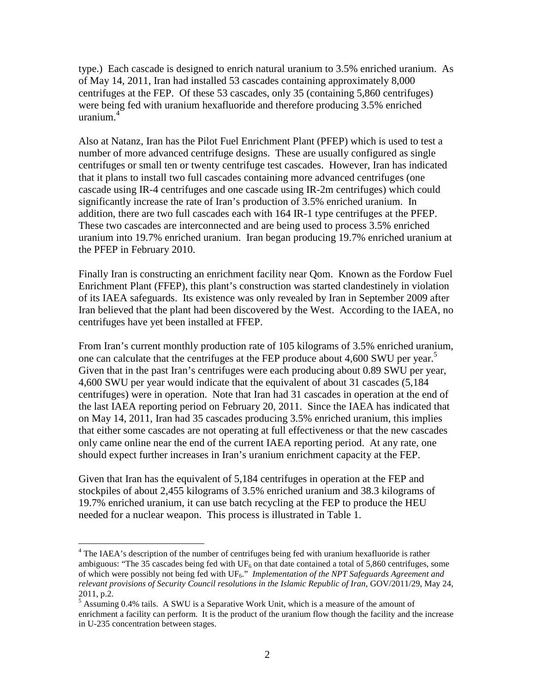type.) Each cascade is designed to enrich natural uranium to 3.5% enriched uranium. As of May 14, 2011, Iran had installed 53 cascades containing approximately 8,000 centrifuges at the FEP. Of these 53 cascades, only 35 (containing 5,860 centrifuges) were being fed with uranium hexafluoride and therefore producing 3.5% enriched uranium.<sup>4</sup>

Also at Natanz, Iran has the Pilot Fuel Enrichment Plant (PFEP) which is used to test a number of more advanced centrifuge designs. These are usually configured as single centrifuges or small ten or twenty centrifuge test cascades. However, Iran has indicated that it plans to install two full cascades containing more advanced centrifuges (one cascade using IR-4 centrifuges and one cascade using IR-2m centrifuges) which could significantly increase the rate of Iran's production of 3.5% enriched uranium. In addition, there are two full cascades each with 164 IR-1 type centrifuges at the PFEP. These two cascades are interconnected and are being used to process 3.5% enriched uranium into 19.7% enriched uranium. Iran began producing 19.7% enriched uranium at the PFEP in February 2010.

Finally Iran is constructing an enrichment facility near Qom. Known as the Fordow Fuel Enrichment Plant (FFEP), this plant's construction was started clandestinely in violation of its IAEA safeguards. Its existence was only revealed by Iran in September 2009 after Iran believed that the plant had been discovered by the West. According to the IAEA, no centrifuges have yet been installed at FFEP.

From Iran's current monthly production rate of 105 kilograms of 3.5% enriched uranium, one can calculate that the centrifuges at the FEP produce about 4,600 SWU per year.<sup>5</sup> Given that in the past Iran's centrifuges were each producing about 0.89 SWU per year, 4,600 SWU per year would indicate that the equivalent of about 31 cascades (5,184 centrifuges) were in operation. Note that Iran had 31 cascades in operation at the end of the last IAEA reporting period on February 20, 2011. Since the IAEA has indicated that on May 14, 2011, Iran had 35 cascades producing 3.5% enriched uranium, this implies that either some cascades are not operating at full effectiveness or that the new cascades only came online near the end of the current IAEA reporting period. At any rate, one should expect further increases in Iran's uranium enrichment capacity at the FEP.

Given that Iran has the equivalent of 5,184 centrifuges in operation at the FEP and stockpiles of about 2,455 kilograms of 3.5% enriched uranium and 38.3 kilograms of 19.7% enriched uranium, it can use batch recycling at the FEP to produce the HEU needed for a nuclear weapon. This process is illustrated in Table 1.

<u>.</u>

<sup>&</sup>lt;sup>4</sup> The IAEA's description of the number of centrifuges being fed with uranium hexafluoride is rather ambiguous: "The 35 cascades being fed with  $UF_6$  on that date contained a total of 5,860 centrifuges, some of which were possibly not being fed with UF6." *Implementation of the NPT Safeguards Agreement and relevant provisions of Security Council resolutions in the Islamic Republic of Iran*, GOV/2011/29, May 24, 2011, p.2.

<sup>&</sup>lt;sup>5</sup> Assuming 0.4% tails. A SWU is a Separative Work Unit, which is a measure of the amount of enrichment a facility can perform. It is the product of the uranium flow though the facility and the increase in U-235 concentration between stages.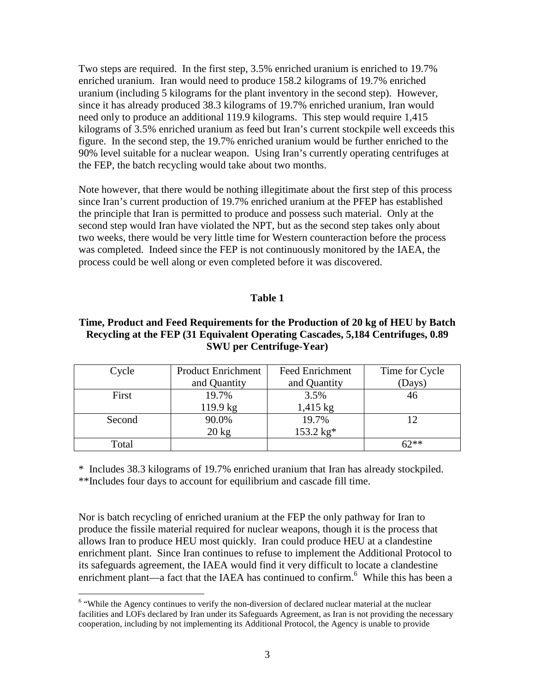Two steps are required. In the first step, 3.5% enriched uranium is enriched to 19.7% enriched uranium. Iran would need to produce 158.2 kilograms of 19.7% enriched uranium (including 5 kilograms for the plant inventory in the second step). However, since it has already produced 38.3 kilograms of 19.7% enriched uranium, Iran would need only to produce an additional 119.9 kilograms. This step would require 1,415 kilograms of 3.5% enriched uranium as feed but Iran's current stockpile well exceeds this figure. In the second step, the 19.7% enriched uranium would be further enriched to the 90% level suitable for a nuclear weapon. Using Iran's currently operating centrifuges at the FEP, the batch recycling would take about two months.

Note however, that there would be nothing illegitimate about the first step of this process since Iran's current production of 19.7% enriched uranium at the PFEP has established the principle that Iran is permitted to produce and possess such material. Only at the second step would Iran have violated the NPT, but as the second step takes only about two weeks, there would be very little time for Western counteraction before the process was completed. Indeed since the FEP is not continuously monitored by the IAEA, the process could be well along or even completed before it was discovered.

## **Table 1**

## **Time, Product and Feed Requirements for the Production of 20 kg of HEU by Batch Recycling at the FEP (31 Equivalent Operating Cascades, 5,184 Centrifuges, 0.89 SWU per Centrifuge-Year)**

| Cycle  | <b>Product Enrichment</b> | <b>Feed Enrichment</b> | Time for Cycle |
|--------|---------------------------|------------------------|----------------|
|        | and Quantity              | and Quantity           | (Days)         |
| First  | 19.7%                     | 3.5%                   | 46             |
|        | 119.9 kg                  | $1,415$ kg             |                |
| Second | 90.0%                     | 19.7%                  |                |
|        | $20 \text{ kg}$           | 153.2 kg*              |                |
| Total  |                           |                        | ናን**           |

\* Includes 38.3 kilograms of 19.7% enriched uranium that Iran has already stockpiled. \*\*Includes four days to account for equilibrium and cascade fill time.

Nor is batch recycling of enriched uranium at the FEP the only pathway for Iran to produce the fissile material required for nuclear weapons, though it is the process that allows Iran to produce HEU most quickly. Iran could produce HEU at a clandestine enrichment plant. Since Iran continues to refuse to implement the Additional Protocol to its safeguards agreement, the IAEA would find it very difficult to locate a clandestine enrichment plant—a fact that the IAEA has continued to confirm.<sup>6</sup> While this has been a

<sup>&</sup>lt;sup>6</sup> "While the Agency continues to verify the non-diversion of declared nuclear material at the nuclear facilities and LOFs declared by Iran under its Safeguards Agreement, as Iran is not providing the necessary cooperation, including by not implementing its Additional Protocol, the Agency is unable to provide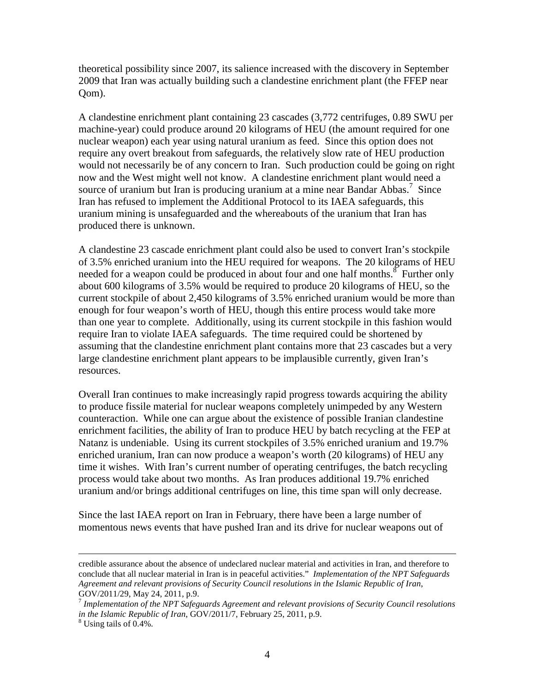theoretical possibility since 2007, its salience increased with the discovery in September 2009 that Iran was actually building such a clandestine enrichment plant (the FFEP near Qom).

A clandestine enrichment plant containing 23 cascades (3,772 centrifuges, 0.89 SWU per machine-year) could produce around 20 kilograms of HEU (the amount required for one nuclear weapon) each year using natural uranium as feed. Since this option does not require any overt breakout from safeguards, the relatively slow rate of HEU production would not necessarily be of any concern to Iran. Such production could be going on right now and the West might well not know. A clandestine enrichment plant would need a source of uranium but Iran is producing uranium at a mine near Bandar Abbas.<sup>7</sup> Since Iran has refused to implement the Additional Protocol to its IAEA safeguards, this uranium mining is unsafeguarded and the whereabouts of the uranium that Iran has produced there is unknown.

A clandestine 23 cascade enrichment plant could also be used to convert Iran's stockpile of 3.5% enriched uranium into the HEU required for weapons. The 20 kilograms of HEU needed for a weapon could be produced in about four and one half months.<sup>8</sup> Further only about 600 kilograms of 3.5% would be required to produce 20 kilograms of HEU, so the current stockpile of about 2,450 kilograms of 3.5% enriched uranium would be more than enough for four weapon's worth of HEU, though this entire process would take more than one year to complete. Additionally, using its current stockpile in this fashion would require Iran to violate IAEA safeguards. The time required could be shortened by assuming that the clandestine enrichment plant contains more that 23 cascades but a very large clandestine enrichment plant appears to be implausible currently, given Iran's resources.

Overall Iran continues to make increasingly rapid progress towards acquiring the ability to produce fissile material for nuclear weapons completely unimpeded by any Western counteraction. While one can argue about the existence of possible Iranian clandestine enrichment facilities, the ability of Iran to produce HEU by batch recycling at the FEP at Natanz is undeniable. Using its current stockpiles of 3.5% enriched uranium and 19.7% enriched uranium, Iran can now produce a weapon's worth (20 kilograms) of HEU any time it wishes. With Iran's current number of operating centrifuges, the batch recycling process would take about two months. As Iran produces additional 19.7% enriched uranium and/or brings additional centrifuges on line, this time span will only decrease.

Since the last IAEA report on Iran in February, there have been a large number of momentous news events that have pushed Iran and its drive for nuclear weapons out of

<u>.</u>

credible assurance about the absence of undeclared nuclear material and activities in Iran, and therefore to conclude that all nuclear material in Iran is in peaceful activities." *Implementation of the NPT Safeguards Agreement and relevant provisions of Security Council resolutions in the Islamic Republic of Iran*, GOV/2011/29, May 24, 2011, p.9.

<sup>7</sup> *Implementation of the NPT Safeguards Agreement and relevant provisions of Security Council resolutions in the Islamic Republic of Iran*, GOV/2011/7, February 25, 2011, p.9.

<sup>8</sup> Using tails of 0.4%.